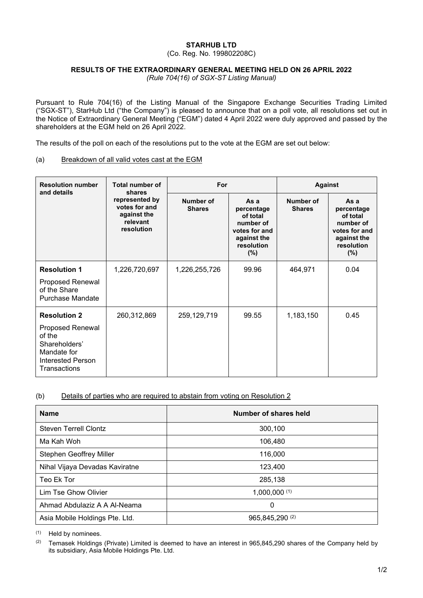## **STARHUB LTD**

(Co. Reg. No. 199802208C)

#### **RESULTS OF THE EXTRAORDINARY GENERAL MEETING HELD ON 26 APRIL 2022**

*(Rule 704(16) of SGX-ST Listing Manual)*

Pursuant to Rule 704(16) of the Listing Manual of the Singapore Exchange Securities Trading Limited ("SGX-ST"), StarHub Ltd ("the Company") is pleased to announce that on a poll vote, all resolutions set out in the Notice of Extraordinary General Meeting ("EGM") dated 4 April 2022 were duly approved and passed by the shareholders at the EGM held on 26 April 2022.

The results of the poll on each of the resolutions put to the vote at the EGM are set out below:

# (a) Breakdown of all valid votes cast at the EGM

| <b>Resolution number</b><br>and details                                                                                       | <b>Total number of</b><br>shares<br>represented by<br>votes for and<br>against the<br>relevant<br>resolution | For                        |                                                                                                  | <b>Against</b>             |                                                                                                  |
|-------------------------------------------------------------------------------------------------------------------------------|--------------------------------------------------------------------------------------------------------------|----------------------------|--------------------------------------------------------------------------------------------------|----------------------------|--------------------------------------------------------------------------------------------------|
|                                                                                                                               |                                                                                                              | Number of<br><b>Shares</b> | As a<br>percentage<br>of total<br>number of<br>votes for and<br>against the<br>resolution<br>(%) | Number of<br><b>Shares</b> | As a<br>percentage<br>of total<br>number of<br>votes for and<br>against the<br>resolution<br>(%) |
| <b>Resolution 1</b><br>Proposed Renewal<br>of the Share<br><b>Purchase Mandate</b>                                            | 1,226,720,697                                                                                                | 1,226,255,726              | 99.96                                                                                            | 464,971                    | 0.04                                                                                             |
| <b>Resolution 2</b><br>Proposed Renewal<br>of the<br>Shareholders'<br>Mandate for<br><b>Interested Person</b><br>Transactions | 260,312,869                                                                                                  | 259,129,719                | 99.55                                                                                            | 1,183,150                  | 0.45                                                                                             |

## (b) Details of parties who are required to abstain from voting on Resolution 2

| <b>Name</b>                    | Number of shares held |  |  |
|--------------------------------|-----------------------|--|--|
| <b>Steven Terrell Clontz</b>   | 300.100               |  |  |
| Ma Kah Woh                     | 106,480               |  |  |
| Stephen Geoffrey Miller        | 116,000               |  |  |
| Nihal Vijaya Devadas Kaviratne | 123,400               |  |  |
| Teo Ek Tor                     | 285,138               |  |  |
| Lim Tse Ghow Olivier           | 1,000,000(1)          |  |  |
| Ahmad Abdulaziz A A Al-Neama   | 0                     |  |  |
| Asia Mobile Holdings Pte. Ltd. | 965,845,290 (2)       |  |  |

(1) Held by nominees.

(2) Temasek Holdings (Private) Limited is deemed to have an interest in 965,845,290 shares of the Company held by its subsidiary, Asia Mobile Holdings Pte. Ltd.